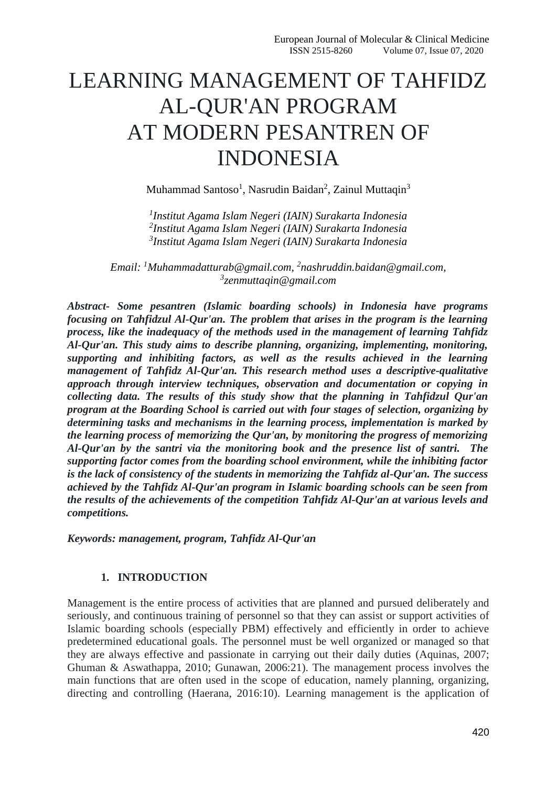# LEARNING MANAGEMENT OF TAHFIDZ AL-QUR'AN PROGRAM AT MODERN PESANTREN OF INDONESIA

Muhammad Santoso<sup>1</sup>, Nasrudin Baidan<sup>2</sup>, Zainul Muttaqin<sup>3</sup>

*1 Institut Agama Islam Negeri (IAIN) Surakarta Indonesia 2 Institut Agama Islam Negeri (IAIN) Surakarta Indonesia 3 Institut Agama Islam Negeri (IAIN) Surakarta Indonesia*

*Email: <sup>1</sup>[Muhammadatturab@gmail.com,](mailto:Muhammadatturab@gmail.com) 2 [nashruddin.baidan@gmail.com,](mailto:nashruddin.baidan@gmail.com) 3 [zenmuttaqin@gmail.com](mailto:zenmuttaqin@gmail.com)*

*Abstract- Some pesantren (Islamic boarding schools) in Indonesia have programs focusing on Tahfidzul Al-Qur'an. The problem that arises in the program is the learning process, like the inadequacy of the methods used in the management of learning Tahfidz Al-Qur'an. This study aims to describe planning, organizing, implementing, monitoring, supporting and inhibiting factors, as well as the results achieved in the learning management of Tahfidz Al-Qur'an. This research method uses a descriptive-qualitative approach through interview techniques, observation and documentation or copying in collecting data. The results of this study show that the planning in Tahfidzul Qur'an program at the Boarding School is carried out with four stages of selection, organizing by determining tasks and mechanisms in the learning process, implementation is marked by the learning process of memorizing the Qur'an, by monitoring the progress of memorizing Al-Qur'an by the santri via the monitoring book and the presence list of santri. The supporting factor comes from the boarding school environment, while the inhibiting factor is the lack of consistency of the students in memorizing the Tahfidz al-Qur'an. The success achieved by the Tahfidz Al-Qur'an program in Islamic boarding schools can be seen from the results of the achievements of the competition Tahfidz Al-Qur'an at various levels and competitions.*

*Keywords: management, program, Tahfidz Al-Qur'an*

## **1. INTRODUCTION**

Management is the entire process of activities that are planned and pursued deliberately and seriously, and continuous training of personnel so that they can assist or support activities of Islamic boarding schools (especially PBM) effectively and efficiently in order to achieve predetermined educational goals. The personnel must be well organized or managed so that they are always effective and passionate in carrying out their daily duties (Aquinas, 2007; Ghuman & Aswathappa, 2010; Gunawan, 2006:21). The management process involves the main functions that are often used in the scope of education, namely planning, organizing, directing and controlling (Haerana, 2016:10). Learning management is the application of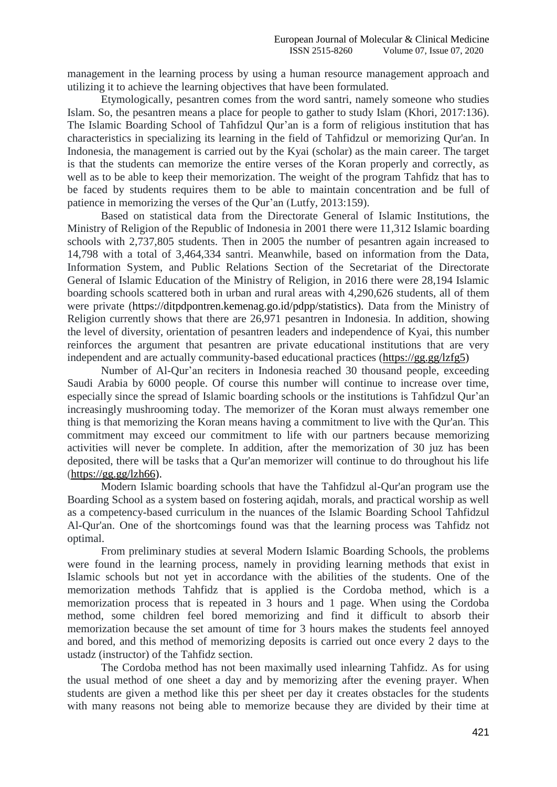management in the learning process by using a human resource management approach and utilizing it to achieve the learning objectives that have been formulated.

Etymologically, pesantren comes from the word santri, namely someone who studies Islam. So, the pesantren means a place for people to gather to study Islam (Khori, 2017:136). The Islamic Boarding School of Tahfidzul Qur'an is a form of religious institution that has characteristics in specializing its learning in the field of Tahfidzul or memorizing Qur'an. In Indonesia, the management is carried out by the Kyai (scholar) as the main career. The target is that the students can memorize the entire verses of the Koran properly and correctly, as well as to be able to keep their memorization. The weight of the program Tahfidz that has to be faced by students requires them to be able to maintain concentration and be full of patience in memorizing the verses of the Qur'an (Lutfy, 2013:159).

Based on statistical data from the Directorate General of Islamic Institutions, the Ministry of Religion of the Republic of Indonesia in 2001 there were 11,312 Islamic boarding schools with 2,737,805 students. Then in 2005 the number of pesantren again increased to 14,798 with a total of 3,464,334 santri. Meanwhile, based on information from the Data, Information System, and Public Relations Section of the Secretariat of the Directorate General of Islamic Education of the Ministry of Religion, in 2016 there were 28,194 Islamic boarding schools scattered both in urban and rural areas with 4,290,626 students, all of them were private [\(https://ditpdpontren.kemenag.go.id/pdpp/statistics\)](https://ditpdpontren.kemenag.go.id/pdpp/statistics). Data from the Ministry of Religion currently shows that there are 26,971 pesantren in Indonesia. In addition, showing the level of diversity, orientation of pesantren leaders and independence of Kyai, this number reinforces the argument that pesantren are private educational institutions that are very independent and are actually community-based educational practices [\(https://gg.gg/lzfg5\)](https://gg.gg/lzfg5)

Number of Al-Qur'an reciters in Indonesia reached 30 thousand people, exceeding Saudi Arabia by 6000 people. Of course this number will continue to increase over time, especially since the spread of Islamic boarding schools or the institutions is Tahfidzul Qur'an increasingly mushrooming today. The memorizer of the Koran must always remember one thing is that memorizing the Koran means having a commitment to live with the Qur'an. This commitment may exceed our commitment to life with our partners because memorizing activities will never be complete. In addition, after the memorization of 30 juz has been deposited, there will be tasks that a Qur'an memorizer will continue to do throughout his life  $(htips://gg.gg/lzh66)$ .

Modern Islamic boarding schools that have the Tahfidzul al-Qur'an program use the Boarding School as a system based on fostering aqidah, morals, and practical worship as well as a competency-based curriculum in the nuances of the Islamic Boarding School Tahfidzul Al-Qur'an. One of the shortcomings found was that the learning process was Tahfidz not optimal.

From preliminary studies at several Modern Islamic Boarding Schools, the problems were found in the learning process, namely in providing learning methods that exist in Islamic schools but not yet in accordance with the abilities of the students. One of the memorization methods Tahfidz that is applied is the Cordoba method, which is a memorization process that is repeated in 3 hours and 1 page. When using the Cordoba method, some children feel bored memorizing and find it difficult to absorb their memorization because the set amount of time for 3 hours makes the students feel annoyed and bored, and this method of memorizing deposits is carried out once every 2 days to the ustadz (instructor) of the Tahfidz section.

The Cordoba method has not been maximally used inlearning Tahfidz. As for using the usual method of one sheet a day and by memorizing after the evening prayer. When students are given a method like this per sheet per day it creates obstacles for the students with many reasons not being able to memorize because they are divided by their time at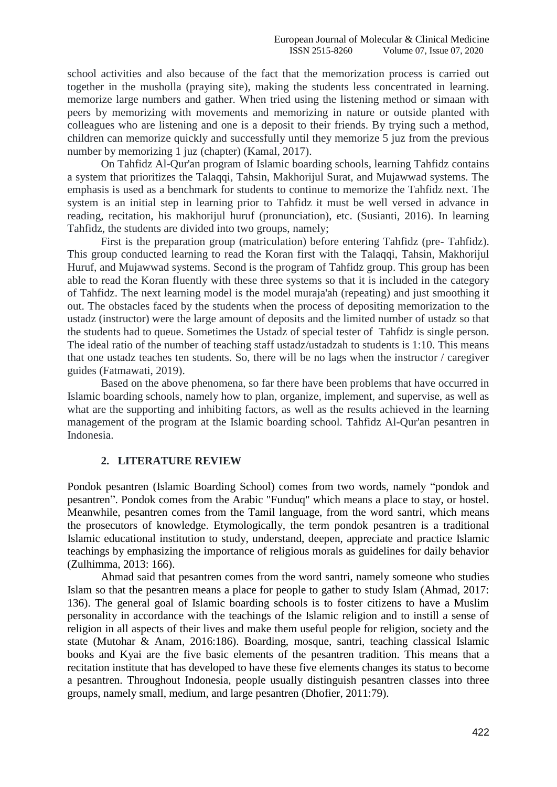school activities and also because of the fact that the memorization process is carried out together in the musholla (praying site), making the students less concentrated in learning. memorize large numbers and gather. When tried using the listening method or simaan with peers by memorizing with movements and memorizing in nature or outside planted with colleagues who are listening and one is a deposit to their friends. By trying such a method, children can memorize quickly and successfully until they memorize 5 juz from the previous number by memorizing 1 juz (chapter) (Kamal, 2017).

On Tahfidz Al-Qur'an program of Islamic boarding schools, learning Tahfidz contains a system that prioritizes the Talaqqi, Tahsin, Makhorijul Surat, and Mujawwad systems. The emphasis is used as a benchmark for students to continue to memorize the Tahfidz next. The system is an initial step in learning prior to Tahfidz it must be well versed in advance in reading, recitation, his makhorijul huruf (pronunciation), etc. (Susianti, 2016). In learning Tahfidz, the students are divided into two groups, namely;

First is the preparation group (matriculation) before entering Tahfidz (pre- Tahfidz). This group conducted learning to read the Koran first with the Talaqqi, Tahsin, Makhorijul Huruf, and Mujawwad systems. Second is the program of Tahfidz group. This group has been able to read the Koran fluently with these three systems so that it is included in the category of Tahfidz. The next learning model is the model muraja'ah (repeating) and just smoothing it out. The obstacles faced by the students when the process of depositing memorization to the ustadz (instructor) were the large amount of deposits and the limited number of ustadz so that the students had to queue. Sometimes the Ustadz of special tester of Tahfidz is single person. The ideal ratio of the number of teaching staff ustadz/ustadzah to students is 1:10. This means that one ustadz teaches ten students. So, there will be no lags when the instructor / caregiver guides (Fatmawati, 2019).

Based on the above phenomena, so far there have been problems that have occurred in Islamic boarding schools, namely how to plan, organize, implement, and supervise, as well as what are the supporting and inhibiting factors, as well as the results achieved in the learning management of the program at the Islamic boarding school. Tahfidz Al-Qur'an pesantren in Indonesia.

# **2. LITERATURE REVIEW**

Pondok pesantren (Islamic Boarding School) comes from two words, namely "pondok and pesantren". Pondok comes from the Arabic "Funduq" which means a place to stay, or hostel. Meanwhile, pesantren comes from the Tamil language, from the word santri, which means the prosecutors of knowledge. Etymologically, the term pondok pesantren is a traditional Islamic educational institution to study, understand, deepen, appreciate and practice Islamic teachings by emphasizing the importance of religious morals as guidelines for daily behavior (Zulhimma, 2013: 166).

Ahmad said that pesantren comes from the word santri, namely someone who studies Islam so that the pesantren means a place for people to gather to study Islam (Ahmad, 2017: 136). The general goal of Islamic boarding schools is to foster citizens to have a Muslim personality in accordance with the teachings of the Islamic religion and to instill a sense of religion in all aspects of their lives and make them useful people for religion, society and the state (Mutohar & Anam, 2016:186). Boarding, mosque, santri, teaching classical Islamic books and Kyai are the five basic elements of the pesantren tradition. This means that a recitation institute that has developed to have these five elements changes its status to become a pesantren. Throughout Indonesia, people usually distinguish pesantren classes into three groups, namely small, medium, and large pesantren (Dhofier, 2011:79).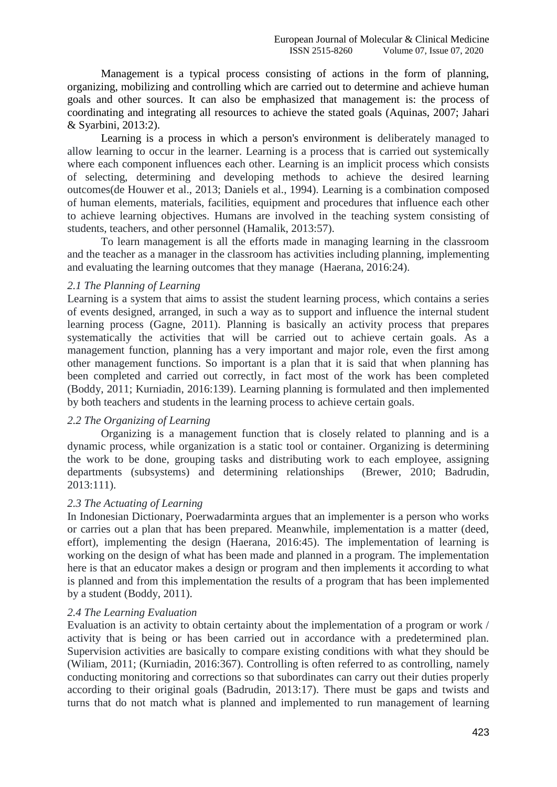Management is a typical process consisting of actions in the form of planning, organizing, mobilizing and controlling which are carried out to determine and achieve human goals and other sources. It can also be emphasized that management is: the process of coordinating and integrating all resources to achieve the stated goals (Aquinas, 2007; Jahari & Syarbini, 2013:2).

Learning is a process in which a person's environment is deliberately managed to allow learning to occur in the learner. Learning is a process that is carried out systemically where each component influences each other. Learning is an implicit process which consists of selecting, determining and developing methods to achieve the desired learning outcomes(de Houwer et al., 2013; Daniels et al., 1994). Learning is a combination composed of human elements, materials, facilities, equipment and procedures that influence each other to achieve learning objectives. Humans are involved in the teaching system consisting of students, teachers, and other personnel (Hamalik, 2013:57).

To learn management is all the efforts made in managing learning in the classroom and the teacher as a manager in the classroom has activities including planning, implementing and evaluating the learning outcomes that they manage (Haerana, 2016:24).

## *2.1 The Planning of Learning*

Learning is a system that aims to assist the student learning process, which contains a series of events designed, arranged, in such a way as to support and influence the internal student learning process (Gagne, 2011). Planning is basically an activity process that prepares systematically the activities that will be carried out to achieve certain goals. As a management function, planning has a very important and major role, even the first among other management functions. So important is a plan that it is said that when planning has been completed and carried out correctly, in fact most of the work has been completed (Boddy, 2011; Kurniadin, 2016:139). Learning planning is formulated and then implemented by both teachers and students in the learning process to achieve certain goals.

## *2.2 The Organizing of Learning*

Organizing is a management function that is closely related to planning and is a dynamic process, while organization is a static tool or container. Organizing is determining the work to be done, grouping tasks and distributing work to each employee, assigning departments (subsystems) and determining relationships (Brewer, 2010; Badrudin, 2013:111).

## *2.3 The Actuating of Learning*

In Indonesian Dictionary, Poerwadarminta argues that an implementer is a person who works or carries out a plan that has been prepared. Meanwhile, implementation is a matter (deed, effort), implementing the design (Haerana, 2016:45). The implementation of learning is working on the design of what has been made and planned in a program. The implementation here is that an educator makes a design or program and then implements it according to what is planned and from this implementation the results of a program that has been implemented by a student (Boddy, 2011).

#### *2.4 The Learning Evaluation*

Evaluation is an activity to obtain certainty about the implementation of a program or work / activity that is being or has been carried out in accordance with a predetermined plan. Supervision activities are basically to compare existing conditions with what they should be (Wiliam, 2011; (Kurniadin, 2016:367). Controlling is often referred to as controlling, namely conducting monitoring and corrections so that subordinates can carry out their duties properly according to their original goals (Badrudin, 2013:17). There must be gaps and twists and turns that do not match what is planned and implemented to run management of learning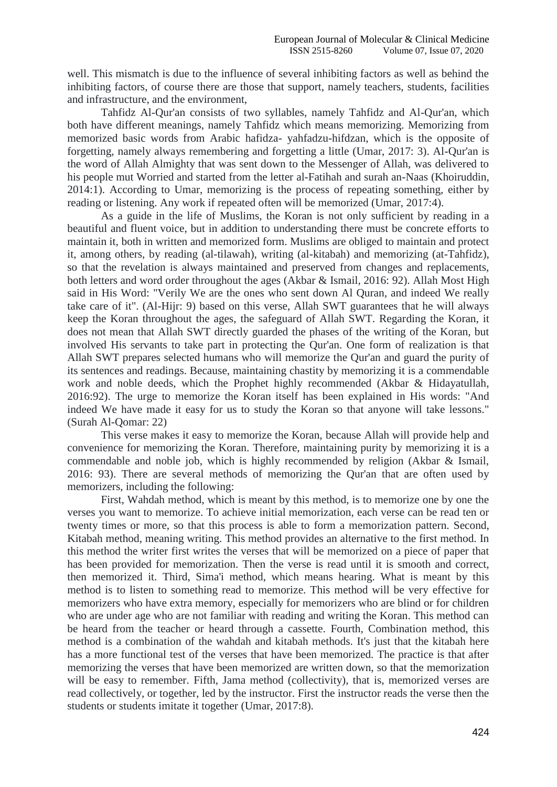well. This mismatch is due to the influence of several inhibiting factors as well as behind the inhibiting factors, of course there are those that support, namely teachers, students, facilities and infrastructure, and the environment,

Tahfidz Al-Qur'an consists of two syllables, namely Tahfidz and Al-Qur'an, which both have different meanings, namely Tahfidz which means memorizing. Memorizing from memorized basic words from Arabic hafidza- yahfadzu-hifdzan, which is the opposite of forgetting, namely always remembering and forgetting a little (Umar, 2017: 3). Al-Qur'an is the word of Allah Almighty that was sent down to the Messenger of Allah, was delivered to his people mut Worried and started from the letter al-Fatihah and surah an-Naas (Khoiruddin, 2014:1). According to Umar, memorizing is the process of repeating something, either by reading or listening. Any work if repeated often will be memorized (Umar, 2017:4).

As a guide in the life of Muslims, the Koran is not only sufficient by reading in a beautiful and fluent voice, but in addition to understanding there must be concrete efforts to maintain it, both in written and memorized form. Muslims are obliged to maintain and protect it, among others, by reading (al-tilawah), writing (al-kitabah) and memorizing (at-Tahfidz), so that the revelation is always maintained and preserved from changes and replacements, both letters and word order throughout the ages (Akbar & Ismail, 2016: 92). Allah Most High said in His Word: "Verily We are the ones who sent down Al Quran, and indeed We really take care of it". (Al-Hijr: 9) based on this verse, Allah SWT guarantees that he will always keep the Koran throughout the ages, the safeguard of Allah SWT. Regarding the Koran, it does not mean that Allah SWT directly guarded the phases of the writing of the Koran, but involved His servants to take part in protecting the Qur'an. One form of realization is that Allah SWT prepares selected humans who will memorize the Qur'an and guard the purity of its sentences and readings. Because, maintaining chastity by memorizing it is a commendable work and noble deeds, which the Prophet highly recommended (Akbar & Hidayatullah, 2016:92). The urge to memorize the Koran itself has been explained in His words: "And indeed We have made it easy for us to study the Koran so that anyone will take lessons." (Surah Al-Qomar: 22)

This verse makes it easy to memorize the Koran, because Allah will provide help and convenience for memorizing the Koran. Therefore, maintaining purity by memorizing it is a commendable and noble job, which is highly recommended by religion (Akbar & Ismail, 2016: 93). There are several methods of memorizing the Qur'an that are often used by memorizers, including the following:

First, Wahdah method, which is meant by this method, is to memorize one by one the verses you want to memorize. To achieve initial memorization, each verse can be read ten or twenty times or more, so that this process is able to form a memorization pattern. Second, Kitabah method, meaning writing. This method provides an alternative to the first method. In this method the writer first writes the verses that will be memorized on a piece of paper that has been provided for memorization. Then the verse is read until it is smooth and correct, then memorized it. Third, Sima'i method, which means hearing. What is meant by this method is to listen to something read to memorize. This method will be very effective for memorizers who have extra memory, especially for memorizers who are blind or for children who are under age who are not familiar with reading and writing the Koran. This method can be heard from the teacher or heard through a cassette. Fourth, Combination method, this method is a combination of the wahdah and kitabah methods. It's just that the kitabah here has a more functional test of the verses that have been memorized. The practice is that after memorizing the verses that have been memorized are written down, so that the memorization will be easy to remember. Fifth, Jama method (collectivity), that is, memorized verses are read collectively, or together, led by the instructor. First the instructor reads the verse then the students or students imitate it together (Umar, 2017:8).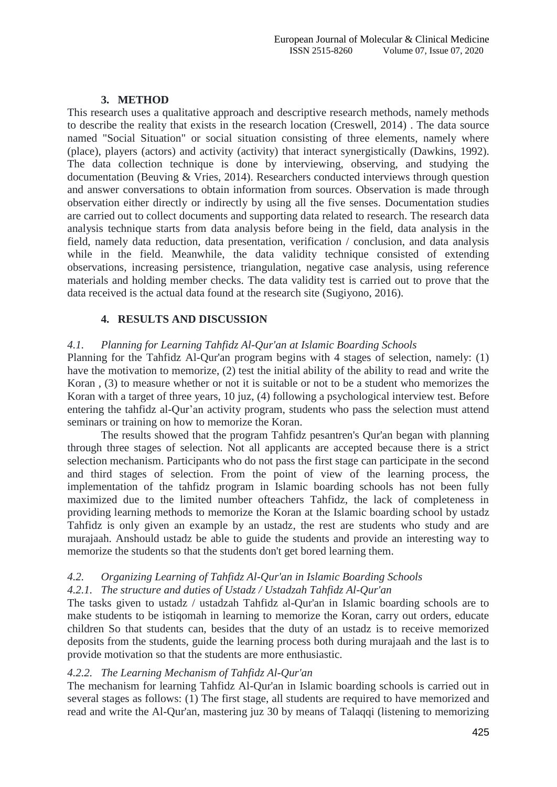# **3. METHOD**

This research uses a qualitative approach and descriptive research methods, namely methods to describe the reality that exists in the research location (Creswell, 2014) . The data source named "Social Situation" or social situation consisting of three elements, namely where (place), players (actors) and activity (activity) that interact synergistically (Dawkins, 1992). The data collection technique is done by interviewing, observing, and studying the documentation (Beuving & Vries, 2014). Researchers conducted interviews through question and answer conversations to obtain information from sources. Observation is made through observation either directly or indirectly by using all the five senses. Documentation studies are carried out to collect documents and supporting data related to research. The research data analysis technique starts from data analysis before being in the field, data analysis in the field, namely data reduction, data presentation, verification / conclusion, and data analysis while in the field. Meanwhile, the data validity technique consisted of extending observations, increasing persistence, triangulation, negative case analysis, using reference materials and holding member checks. The data validity test is carried out to prove that the data received is the actual data found at the research site (Sugiyono, 2016).

# **4. RESULTS AND DISCUSSION**

# *4.1. Planning for Learning Tahfidz Al-Qur'an at Islamic Boarding Schools*

Planning for the Tahfidz Al-Qur'an program begins with 4 stages of selection, namely: (1) have the motivation to memorize, (2) test the initial ability of the ability to read and write the Koran , (3) to measure whether or not it is suitable or not to be a student who memorizes the Koran with a target of three years, 10 juz, (4) following a psychological interview test. Before entering the tahfidz al-Qur'an activity program, students who pass the selection must attend seminars or training on how to memorize the Koran.

The results showed that the program Tahfidz pesantren's Qur'an began with planning through three stages of selection. Not all applicants are accepted because there is a strict selection mechanism. Participants who do not pass the first stage can participate in the second and third stages of selection. From the point of view of the learning process, the implementation of the tahfidz program in Islamic boarding schools has not been fully maximized due to the limited number ofteachers Tahfidz, the lack of completeness in providing learning methods to memorize the Koran at the Islamic boarding school by ustadz Tahfidz is only given an example by an ustadz, the rest are students who study and are murajaah. Anshould ustadz be able to guide the students and provide an interesting way to memorize the students so that the students don't get bored learning them.

# *4.2. Organizing Learning of Tahfidz Al-Qur'an in Islamic Boarding Schools*

# *4.2.1. The structure and duties of Ustadz / Ustadzah Tahfidz Al-Qur'an*

The tasks given to ustadz / ustadzah Tahfidz al-Qur'an in Islamic boarding schools are to make students to be istiqomah in learning to memorize the Koran, carry out orders, educate children So that students can, besides that the duty of an ustadz is to receive memorized deposits from the students, guide the learning process both during murajaah and the last is to provide motivation so that the students are more enthusiastic.

# *4.2.2. The Learning Mechanism of Tahfidz Al-Qur'an*

The mechanism for learning Tahfidz Al-Qur'an in Islamic boarding schools is carried out in several stages as follows: (1) The first stage, all students are required to have memorized and read and write the Al-Qur'an, mastering juz 30 by means of Talaqqi (listening to memorizing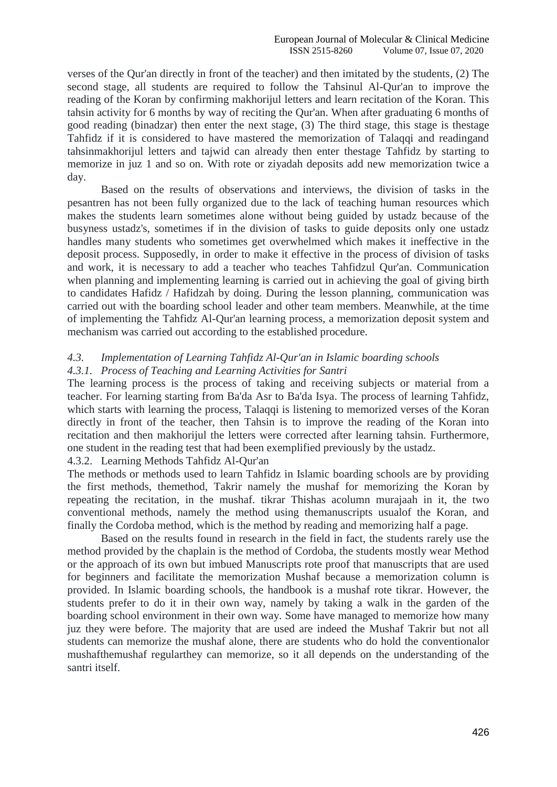verses of the Qur'an directly in front of the teacher) and then imitated by the students, (2) The second stage, all students are required to follow the Tahsinul Al-Qur'an to improve the reading of the Koran by confirming makhorijul letters and learn recitation of the Koran. This tahsin activity for 6 months by way of reciting the Qur'an. When after graduating 6 months of good reading (binadzar) then enter the next stage, (3) The third stage, this stage is thestage Tahfidz if it is considered to have mastered the memorization of Talaqqi and readingand tahsinmakhorijul letters and tajwid can already then enter thestage Tahfidz by starting to memorize in juz 1 and so on. With rote or ziyadah deposits add new memorization twice a day.

Based on the results of observations and interviews, the division of tasks in the pesantren has not been fully organized due to the lack of teaching human resources which makes the students learn sometimes alone without being guided by ustadz because of the busyness ustadz's, sometimes if in the division of tasks to guide deposits only one ustadz handles many students who sometimes get overwhelmed which makes it ineffective in the deposit process. Supposedly, in order to make it effective in the process of division of tasks and work, it is necessary to add a teacher who teaches Tahfidzul Qur'an. Communication when planning and implementing learning is carried out in achieving the goal of giving birth to candidates Hafidz / Hafidzah by doing. During the lesson planning, communication was carried out with the boarding school leader and other team members. Meanwhile, at the time of implementing the Tahfidz Al-Qur'an learning process, a memorization deposit system and mechanism was carried out according to the established procedure.

## *4.3. Implementation of Learning Tahfidz Al-Qur'an in Islamic boarding schools 4.3.1. Process of Teaching and Learning Activities for Santri*

The learning process is the process of taking and receiving subjects or material from a teacher. For learning starting from Ba'da Asr to Ba'da Isya. The process of learning Tahfidz, which starts with learning the process, Talaqqi is listening to memorized verses of the Koran directly in front of the teacher, then Tahsin is to improve the reading of the Koran into recitation and then makhorijul the letters were corrected after learning tahsin. Furthermore, one student in the reading test that had been exemplified previously by the ustadz.

## 4.3.2. Learning Methods Tahfidz Al-Qur'an

The methods or methods used to learn Tahfidz in Islamic boarding schools are by providing the first methods, themethod, Takrir namely the mushaf for memorizing the Koran by repeating the recitation, in the mushaf. tikrar Thishas acolumn murajaah in it, the two conventional methods, namely the method using themanuscripts usualof the Koran, and finally the Cordoba method, which is the method by reading and memorizing half a page.

Based on the results found in research in the field in fact, the students rarely use the method provided by the chaplain is the method of Cordoba, the students mostly wear Method or the approach of its own but imbued Manuscripts rote proof that manuscripts that are used for beginners and facilitate the memorization Mushaf because a memorization column is provided. In Islamic boarding schools, the handbook is a mushaf rote tikrar. However, the students prefer to do it in their own way, namely by taking a walk in the garden of the boarding school environment in their own way. Some have managed to memorize how many juz they were before. The majority that are used are indeed the Mushaf Takrir but not all students can memorize the mushaf alone, there are students who do hold the conventionalor mushafthemushaf regularthey can memorize, so it all depends on the understanding of the santri itself.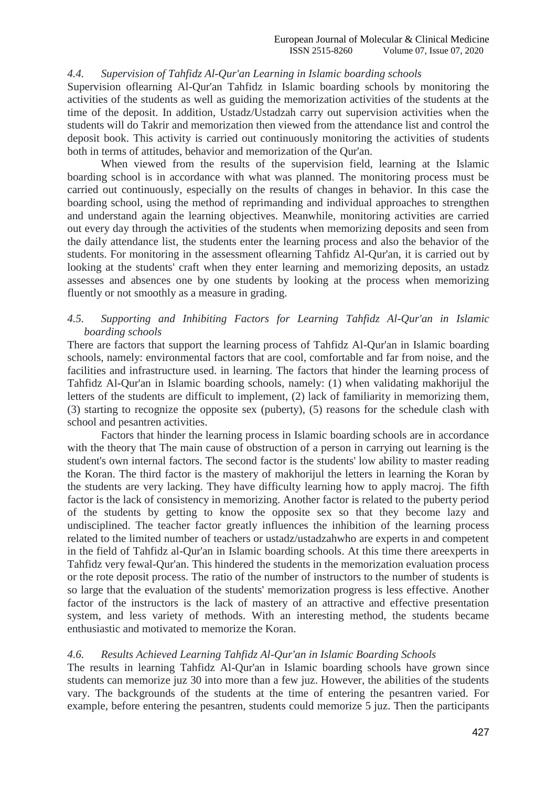## *4.4. Supervision of Tahfidz Al-Qur'an Learning in Islamic boarding schools*

Supervision oflearning Al-Qur'an Tahfidz in Islamic boarding schools by monitoring the activities of the students as well as guiding the memorization activities of the students at the time of the deposit. In addition, Ustadz/Ustadzah carry out supervision activities when the students will do Takrir and memorization then viewed from the attendance list and control the deposit book. This activity is carried out continuously monitoring the activities of students both in terms of attitudes, behavior and memorization of the Qur'an.

When viewed from the results of the supervision field, learning at the Islamic boarding school is in accordance with what was planned. The monitoring process must be carried out continuously, especially on the results of changes in behavior. In this case the boarding school, using the method of reprimanding and individual approaches to strengthen and understand again the learning objectives. Meanwhile, monitoring activities are carried out every day through the activities of the students when memorizing deposits and seen from the daily attendance list, the students enter the learning process and also the behavior of the students. For monitoring in the assessment oflearning Tahfidz Al-Qur'an, it is carried out by looking at the students' craft when they enter learning and memorizing deposits, an ustadz assesses and absences one by one students by looking at the process when memorizing fluently or not smoothly as a measure in grading.

# *4.5. Supporting and Inhibiting Factors for Learning Tahfidz Al-Qur'an in Islamic boarding schools*

There are factors that support the learning process of Tahfidz Al-Qur'an in Islamic boarding schools, namely: environmental factors that are cool, comfortable and far from noise, and the facilities and infrastructure used. in learning. The factors that hinder the learning process of Tahfidz Al-Qur'an in Islamic boarding schools, namely: (1) when validating makhorijul the letters of the students are difficult to implement, (2) lack of familiarity in memorizing them, (3) starting to recognize the opposite sex (puberty), (5) reasons for the schedule clash with school and pesantren activities.

Factors that hinder the learning process in Islamic boarding schools are in accordance with the theory that The main cause of obstruction of a person in carrying out learning is the student's own internal factors. The second factor is the students' low ability to master reading the Koran. The third factor is the mastery of makhorijul the letters in learning the Koran by the students are very lacking. They have difficulty learning how to apply macroj. The fifth factor is the lack of consistency in memorizing. Another factor is related to the puberty period of the students by getting to know the opposite sex so that they become lazy and undisciplined. The teacher factor greatly influences the inhibition of the learning process related to the limited number of teachers or ustadz/ustadzahwho are experts in and competent in the field of Tahfidz al-Qur'an in Islamic boarding schools. At this time there areexperts in Tahfidz very fewal-Qur'an. This hindered the students in the memorization evaluation process or the rote deposit process. The ratio of the number of instructors to the number of students is so large that the evaluation of the students' memorization progress is less effective. Another factor of the instructors is the lack of mastery of an attractive and effective presentation system, and less variety of methods. With an interesting method, the students became enthusiastic and motivated to memorize the Koran.

## *4.6. Results Achieved Learning Tahfidz Al-Qur'an in Islamic Boarding Schools*

The results in learning Tahfidz Al-Qur'an in Islamic boarding schools have grown since students can memorize juz 30 into more than a few juz. However, the abilities of the students vary. The backgrounds of the students at the time of entering the pesantren varied. For example, before entering the pesantren, students could memorize 5 juz. Then the participants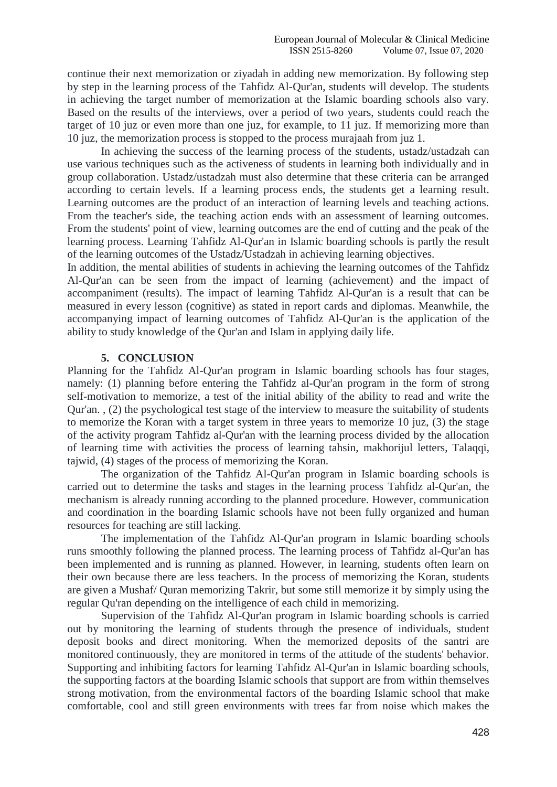continue their next memorization or ziyadah in adding new memorization. By following step by step in the learning process of the Tahfidz Al-Qur'an, students will develop. The students in achieving the target number of memorization at the Islamic boarding schools also vary. Based on the results of the interviews, over a period of two years, students could reach the target of 10 juz or even more than one juz, for example, to 11 juz. If memorizing more than 10 juz, the memorization process is stopped to the process murajaah from juz 1.

In achieving the success of the learning process of the students, ustadz/ustadzah can use various techniques such as the activeness of students in learning both individually and in group collaboration. Ustadz/ustadzah must also determine that these criteria can be arranged according to certain levels. If a learning process ends, the students get a learning result. Learning outcomes are the product of an interaction of learning levels and teaching actions. From the teacher's side, the teaching action ends with an assessment of learning outcomes. From the students' point of view, learning outcomes are the end of cutting and the peak of the learning process. Learning Tahfidz Al-Qur'an in Islamic boarding schools is partly the result of the learning outcomes of the Ustadz/Ustadzah in achieving learning objectives.

In addition, the mental abilities of students in achieving the learning outcomes of the Tahfidz Al-Qur'an can be seen from the impact of learning (achievement) and the impact of accompaniment (results). The impact of learning Tahfidz Al-Qur'an is a result that can be measured in every lesson (cognitive) as stated in report cards and diplomas. Meanwhile, the accompanying impact of learning outcomes of Tahfidz Al-Qur'an is the application of the ability to study knowledge of the Qur'an and Islam in applying daily life.

# **5. CONCLUSION**

Planning for the Tahfidz Al-Qur'an program in Islamic boarding schools has four stages, namely: (1) planning before entering the Tahfidz al-Qur'an program in the form of strong self-motivation to memorize, a test of the initial ability of the ability to read and write the Qur'an. , (2) the psychological test stage of the interview to measure the suitability of students to memorize the Koran with a target system in three years to memorize 10 juz, (3) the stage of the activity program Tahfidz al-Qur'an with the learning process divided by the allocation of learning time with activities the process of learning tahsin, makhorijul letters, Talaqqi, tajwid, (4) stages of the process of memorizing the Koran.

The organization of the Tahfidz Al-Qur'an program in Islamic boarding schools is carried out to determine the tasks and stages in the learning process Tahfidz al-Qur'an, the mechanism is already running according to the planned procedure. However, communication and coordination in the boarding Islamic schools have not been fully organized and human resources for teaching are still lacking.

The implementation of the Tahfidz Al-Qur'an program in Islamic boarding schools runs smoothly following the planned process. The learning process of Tahfidz al-Qur'an has been implemented and is running as planned. However, in learning, students often learn on their own because there are less teachers. In the process of memorizing the Koran, students are given a Mushaf/ Quran memorizing Takrir, but some still memorize it by simply using the regular Qu'ran depending on the intelligence of each child in memorizing.

Supervision of the Tahfidz Al-Qur'an program in Islamic boarding schools is carried out by monitoring the learning of students through the presence of individuals, student deposit books and direct monitoring. When the memorized deposits of the santri are monitored continuously, they are monitored in terms of the attitude of the students' behavior. Supporting and inhibiting factors for learning Tahfidz Al-Qur'an in Islamic boarding schools, the supporting factors at the boarding Islamic schools that support are from within themselves strong motivation, from the environmental factors of the boarding Islamic school that make comfortable, cool and still green environments with trees far from noise which makes the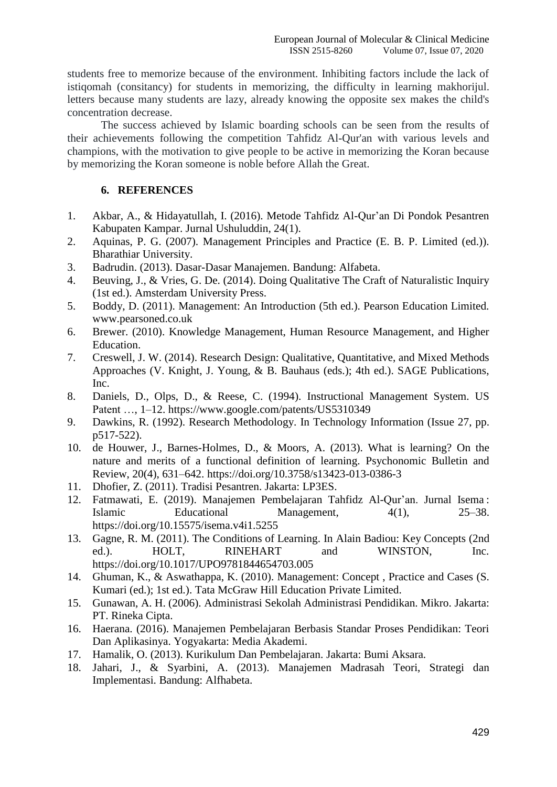students free to memorize because of the environment. Inhibiting factors include the lack of istiqomah (consitancy) for students in memorizing, the difficulty in learning makhorijul. letters because many students are lazy, already knowing the opposite sex makes the child's concentration decrease.

The success achieved by Islamic boarding schools can be seen from the results of their achievements following the competition Tahfidz Al-Qur'an with various levels and champions, with the motivation to give people to be active in memorizing the Koran because by memorizing the Koran someone is noble before Allah the Great.

# **6. REFERENCES**

- 1. Akbar, A., & Hidayatullah, I. (2016). Metode Tahfidz Al-Qur'an Di Pondok Pesantren Kabupaten Kampar. Jurnal Ushuluddin, 24(1).
- 2. Aquinas, P. G. (2007). Management Principles and Practice (E. B. P. Limited (ed.)). Bharathiar University.
- 3. Badrudin. (2013). Dasar-Dasar Manajemen. Bandung: Alfabeta.
- 4. Beuving, J., & Vries, G. De. (2014). Doing Qualitative The Craft of Naturalistic Inquiry (1st ed.). Amsterdam University Press.
- 5. Boddy, D. (2011). Management: An Introduction (5th ed.). Pearson Education Limited. www.pearsoned.co.uk
- 6. Brewer. (2010). Knowledge Management, Human Resource Management, and Higher Education.
- 7. Creswell, J. W. (2014). Research Design: Qualitative, Quantitative, and Mixed Methods Approaches (V. Knight, J. Young, & B. Bauhaus (eds.); 4th ed.). SAGE Publications, Inc.
- 8. Daniels, D., Olps, D., & Reese, C. (1994). Instructional Management System. US Patent …, 1–12. https://www.google.com/patents/US5310349
- 9. Dawkins, R. (1992). Research Methodology. In Technology Information (Issue 27, pp. p517-522).
- 10. de Houwer, J., Barnes-Holmes, D., & Moors, A. (2013). What is learning? On the nature and merits of a functional definition of learning. Psychonomic Bulletin and Review, 20(4), 631–642. https://doi.org/10.3758/s13423-013-0386-3
- 11. Dhofier, Z. (2011). Tradisi Pesantren. Jakarta: LP3ES.
- 12. Fatmawati, E. (2019). Manajemen Pembelajaran Tahfidz Al-Qur'an. Jurnal Isema : Islamic Educational Management, 4(1), 25–38. https://doi.org/10.15575/isema.v4i1.5255
- 13. Gagne, R. M. (2011). The Conditions of Learning. In Alain Badiou: Key Concepts (2nd ed.). HOLT, RINEHART and WINSTON, Inc. https://doi.org/10.1017/UPO9781844654703.005
- 14. Ghuman, K., & Aswathappa, K. (2010). Management: Concept , Practice and Cases (S. Kumari (ed.); 1st ed.). Tata McGraw Hill Education Private Limited.
- 15. Gunawan, A. H. (2006). Administrasi Sekolah Administrasi Pendidikan. Mikro. Jakarta: PT. Rineka Cipta.
- 16. Haerana. (2016). Manajemen Pembelajaran Berbasis Standar Proses Pendidikan: Teori Dan Aplikasinya. Yogyakarta: Media Akademi.
- 17. Hamalik, O. (2013). Kurikulum Dan Pembelajaran. Jakarta: Bumi Aksara.
- 18. Jahari, J., & Syarbini, A. (2013). Manajemen Madrasah Teori, Strategi dan Implementasi. Bandung: Alfhabeta.